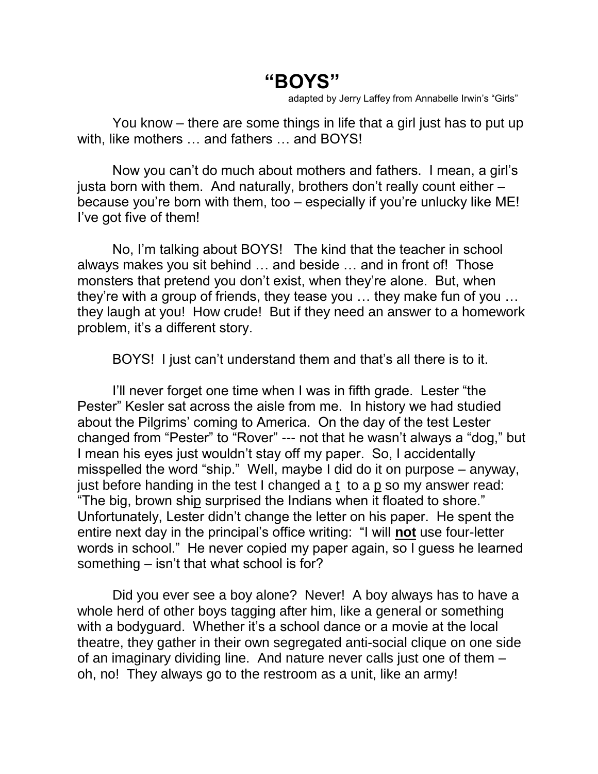## **"BOYS"**

adapted by Jerry Laffey from Annabelle Irwin's "Girls"

You know – there are some things in life that a girl just has to put up with, like mothers … and fathers … and BOYS!

Now you can't do much about mothers and fathers. I mean, a girl's justa born with them. And naturally, brothers don't really count either – because you're born with them, too – especially if you're unlucky like ME! I've got five of them!

No, I'm talking about BOYS! The kind that the teacher in school always makes you sit behind … and beside … and in front of! Those monsters that pretend you don't exist, when they're alone. But, when they're with a group of friends, they tease you … they make fun of you … they laugh at you! How crude! But if they need an answer to a homework problem, it's a different story.

BOYS! I just can't understand them and that's all there is to it.

I'll never forget one time when I was in fifth grade. Lester "the Pester" Kesler sat across the aisle from me. In history we had studied about the Pilgrims' coming to America. On the day of the test Lester changed from "Pester" to "Rover" --- not that he wasn't always a "dog," but I mean his eyes just wouldn't stay off my paper. So, I accidentally misspelled the word "ship." Well, maybe I did do it on purpose – anyway, just before handing in the test I changed a t to a p so my answer read: "The big, brown ship surprised the Indians when it floated to shore." Unfortunately, Lester didn't change the letter on his paper. He spent the entire next day in the principal's office writing: "I will **not** use four-letter words in school." He never copied my paper again, so I guess he learned something – isn't that what school is for?

Did you ever see a boy alone? Never! A boy always has to have a whole herd of other boys tagging after him, like a general or something with a bodyguard. Whether it's a school dance or a movie at the local theatre, they gather in their own segregated anti-social clique on one side of an imaginary dividing line. And nature never calls just one of them – oh, no! They always go to the restroom as a unit, like an army!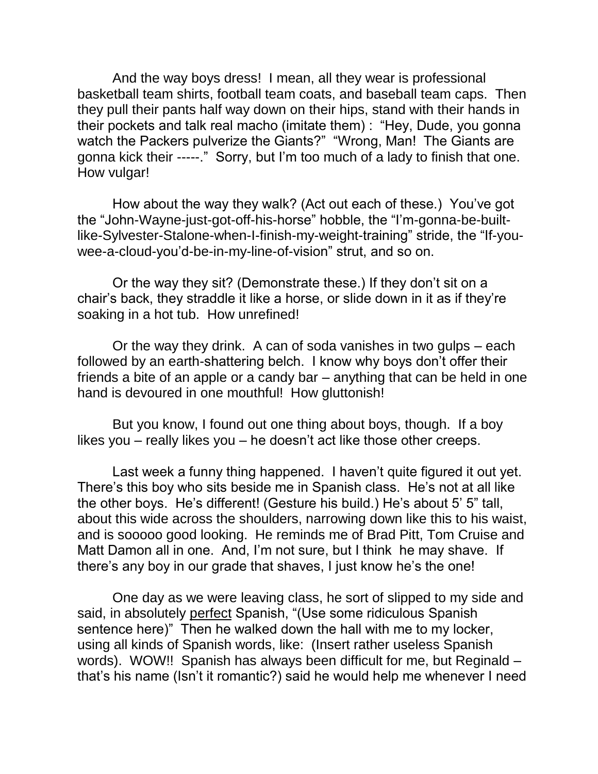And the way boys dress! I mean, all they wear is professional basketball team shirts, football team coats, and baseball team caps. Then they pull their pants half way down on their hips, stand with their hands in their pockets and talk real macho (imitate them) : "Hey, Dude, you gonna watch the Packers pulverize the Giants?" "Wrong, Man! The Giants are gonna kick their -----." Sorry, but I'm too much of a lady to finish that one. How vulgar!

How about the way they walk? (Act out each of these.) You've got the "John-Wayne-just-got-off-his-horse" hobble, the "I'm-gonna-be-builtlike-Sylvester-Stalone-when-I-finish-my-weight-training" stride, the "If-youwee-a-cloud-you'd-be-in-my-line-of-vision" strut, and so on.

Or the way they sit? (Demonstrate these.) If they don't sit on a chair's back, they straddle it like a horse, or slide down in it as if they're soaking in a hot tub. How unrefined!

Or the way they drink. A can of soda vanishes in two gulps – each followed by an earth-shattering belch. I know why boys don't offer their friends a bite of an apple or a candy bar – anything that can be held in one hand is devoured in one mouthful! How gluttonish!

But you know, I found out one thing about boys, though. If a boy likes you – really likes you – he doesn't act like those other creeps.

Last week a funny thing happened. I haven't quite figured it out yet. There's this boy who sits beside me in Spanish class. He's not at all like the other boys. He's different! (Gesture his build.) He's about 5' 5" tall, about this wide across the shoulders, narrowing down like this to his waist, and is sooooo good looking. He reminds me of Brad Pitt, Tom Cruise and Matt Damon all in one. And, I'm not sure, but I think he may shave. If there's any boy in our grade that shaves, I just know he's the one!

One day as we were leaving class, he sort of slipped to my side and said, in absolutely perfect Spanish, "(Use some ridiculous Spanish sentence here)" Then he walked down the hall with me to my locker, using all kinds of Spanish words, like: (Insert rather useless Spanish words). WOW!! Spanish has always been difficult for me, but Reginald – that's his name (Isn't it romantic?) said he would help me whenever I need